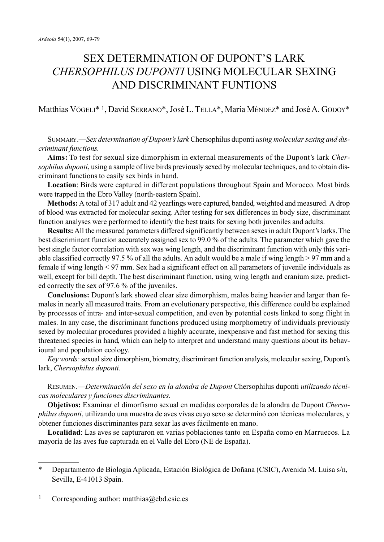# SEX DETERMINATION OF DUPONT'S LARK *CHERSOPHILUS DUPONTI* USING MOLECULAR SEXING AND DISCRIMINANT FUNTIONS

## Matthias VÖGELI\* 1, David SERRANO\*, José L. TELLA\*, María MÉNDEZ\* and José A. GODOY\*

SUMMARY.—*Sex determination of Dupont's lark* Chersophilus duponti *using molecular sexing and discriminant functions.*

**Aims:** To test for sexual size dimorphism in external measurements of the Dupont's lark *Chersophilus duponti*, using a sample of live birds previously sexed by molecular techniques, and to obtain discriminant functions to easily sex birds in hand.

**Location**: Birds were captured in different populations throughout Spain and Morocco. Most birds were trapped in the Ebro Valley (north-eastern Spain).

**Methods:** A total of 317 adult and 42 yearlings were captured, banded, weighted and measured. A drop of blood was extracted for molecular sexing. After testing for sex differences in body size, discriminant function analyses were performed to identify the best traits for sexing both juveniles and adults.

**Results:**All the measured parameters differed significantly between sexes in adult Dupont's larks. The best discriminant function accurately assigned sex to 99.0 % of the adults. The parameter which gave the best single factor correlation with sex was wing length, and the discriminant function with only this variable classified correctly 97.5 % of all the adults. An adult would be a male if wing length > 97 mm and a female if wing length < 97 mm. Sex had a significant effect on all parameters of juvenile individuals as well, except for bill depth. The best discriminant function, using wing length and cranium size, predicted correctly the sex of 97.6 % of the juveniles.

**Conclusions:** Dupont's lark showed clear size dimorphism, males being heavier and larger than females in nearly all measured traits. From an evolutionary perspective, this difference could be explained by processes of intra- and inter-sexual competition, and even by potential costs linked to song flight in males. In any case, the discriminant functions produced using morphometry of individuals previously sexed by molecular procedures provided a highly accurate, inexpensive and fast method for sexing this threatened species in hand, which can help to interpret and understand many questions about its behavioural and population ecology.

*Key words:*sexual size dimorphism, biometry, discriminant function analysis, molecular sexing, Dupont's lark, *Chersophilus duponti*.

RESUMEN*.*—*Determinación del sexo en la alondra de Dupont* Chersophilus duponti *utilizando técnicas moleculares y funciones discriminantes.*

**Objetivos:** Examinar el dimorfismo sexual en medidas corporales de la alondra de Dupont *Chersophilus duponti*, utilizando una muestra de aves vivas cuyo sexo se determinó con técnicas moleculares, y obtener funciones discriminantes para sexar las aves fácilmente en mano.

**Localidad**: Las aves se capturaron en varias poblaciones tanto en España como en Marruecos. La mayoría de las aves fue capturada en el Valle del Ebro (NE de España).

<sup>\*</sup> Departamento de Biologia Aplicada, Estación Biológica de Doñana (CSIC), Avenida M. Luisa s/n, Sevilla, E-41013 Spain.

<sup>&</sup>lt;sup>1</sup> Corresponding author: matthias@ebd.csic.es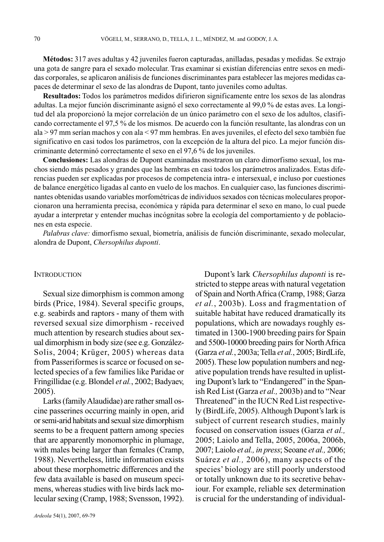**Métodos:** 317 aves adultas y 42 juveniles fueron capturadas, anilladas, pesadas y medidas. Se extrajo una gota de sangre para el sexado molecular. Tras examinar si existían diferencias entre sexos en medidas corporales, se aplicaron análisis de funciones discriminantes para establecer las mejores medidas capaces de determinar el sexo de las alondras de Dupont, tanto juveniles como adultas.

**Resultados:** Todos los parámetros medidos difirieron significamente entre los sexos de las alondras adultas. La mejor función discriminante asignó el sexo correctamente al 99,0 % de estas aves. La longitud del ala proporcionó la mejor correlación de un único parámetro con el sexo de los adultos, clasificando correctamente el 97,5 % de los mismos. De acuerdo con la función resultante, las alondras con un ala > 97 mm serían machos y con ala < 97 mm hembras. En aves juveniles, el efecto del sexo también fue significativo en casi todos los parámetros, con la excepción de la altura del pico. La mejor función discriminante determinó correctamente el sexo en el 97,6 % de los juveniles.

**Conclusiones:** Las alondras de Dupont examinadas mostraron un claro dimorfismo sexual, los machos siendo más pesados y grandes que las hembras en casi todos los parámetros analizados. Estas diferencias pueden ser explicadas por procesos de competencia intra- e intersexual, e incluso por cuestiones de balance energético ligadas al canto en vuelo de los machos. En cualquier caso, las funciones discriminantes obtenidas usando variables morfométricas de individuos sexados con técnicas moleculares proporcionaron una herramienta precisa, económica y rápida para determinar el sexo en mano, lo cual puede ayudar a interpretar y entender muchas incógnitas sobre la ecología del comportamiento y de poblaciones en esta especie.

*Palabras clave:* dimorfismo sexual, biometría, análisis de función discriminante, sexado molecular, alondra de Dupont, *Chersophilus duponti*.

### **INTRODUCTION**

Sexual size dimorphism is common among birds (Price, 1984). Several specific groups, e.g. seabirds and raptors - many of them with reversed sexual size dimorphism - received much attention by research studies about sexual dimorphism in body size (see e.g. González-Solis, 2004; Krüger, 2005) whereas data from Passeriformes is scarce or focused on selected species of a few families like Paridae or Fringillidae (e.g. Blondel *et al.*, 2002; Badyaev, 2005).

Larks (familyAlaudidae) are rather small oscine passerines occurring mainly in open, arid or semi-arid habitats and sexual size dimorphism seems to be a frequent pattern among species that are apparently monomorphic in plumage, with males being larger than females (Cramp, 1988). Nevertheless, little information exists about these morphometric differences and the few data available is based on museum specimens, whereas studies with live birds lack molecular sexing (Cramp, 1988; Svensson, 1992).

Dupont's lark *Chersophilus duponti* is restricted to steppe areas with natural vegetation of Spain and North Africa (Cramp, 1988; Garza *et al.*, 2003b). Loss and fragmentation of suitable habitat have reduced dramatically its populations, which are nowadays roughly estimated in 1300-1900 breeding pairs for Spain and 5500-10000 breeding pairs for North Africa (Garza *et al.*, 2003a; Tella *et al.*, 2005; BirdLife, 2005). These low population numbers and negative population trends have resulted in uplisting Dupont's lark to "Endangered" in the Spanish Red List (Garza *et al.,* 2003b) and to "Near Threatened" in the IUCN Red List respectively (BirdLife, 2005). Although Dupont'slark is subject of current research studies, mainly focused on conservation issues (Garza *et al.,* 2005; Laiolo and Tella, 2005, 2006a, 2006b, 2007; Laiolo *et al., in press*; Seoane *et al.,* 2006; Suárez *et al.,* 2006), many aspects of the species' biology are still poorly understood or totally unknown due to its secretive behaviour. For example, reliable sex determination is crucial for the understanding of individual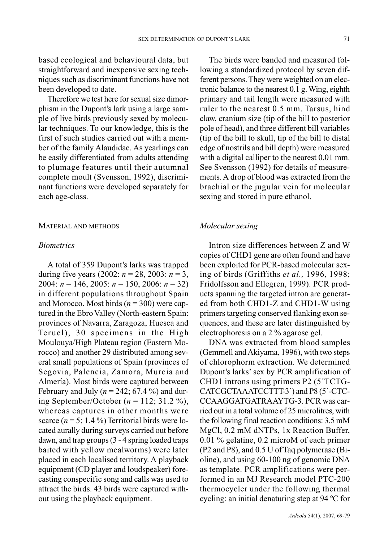based ecological and behavioural data, but straightforward and inexpensive sexing techniques such as discriminant functions have not been developed to date.

Therefore we test here for sexual size dimorphism in the Dupont's lark using a large sample of live birds previously sexed by molecular techniques. To our knowledge, this is the first of such studies carried out with a member of the family Alaudidae. As yearlings can be easily differentiated from adults attending to plumage features until their autumnal complete moult (Svensson, 1992), discriminant functions were developed separately for each age-class.

#### MATERIAL AND METHODS

#### *Biometrics*

A total of 359 Dupont's larks was trapped during five years (2002:  $n = 28, 2003$ :  $n = 3$ , 2004: *n* = 146, 2005: *n* = 150, 2006: *n* = 32) in different populations throughout Spain and Morocco. Most birds (*n* = 300) were captured in the Ebro Valley (North-eastern Spain: provinces of Navarra, Zaragoza, Huesca and Teruel), 30 specimens in the High Moulouya/High Plateau region (Eastern Morocco) and another 29 distributed among several small populations of Spain (provinces of Segovia, Palencia, Zamora, Murcia and Almería). Most birds were captured between February and July ( $n = 242$ ; 67.4%) and during September/October (*n* = 112; 31.2 %), whereas captures in other months were scarce  $(n = 5; 1.4\%)$  Territorial birds were located aurally during surveys carried out before dawn, and trap groups (3 - 4 spring loaded traps baited with yellow mealworms) were later placed in each localised territory. A playback equipment (CD player and loudspeaker) forecasting conspecific song and calls was used to attract the birds. 43 birds were captured without using the playback equipment.

The birds were banded and measured following a standardized protocol by seven different persons. They were weighted on an electronic balance to the nearest 0.1 g. Wing, eighth primary and tail length were measured with ruler to the nearest 0.5 mm. Tarsus, hind claw, cranium size (tip of the bill to posterior pole of head), and three different bill variables (tip of the bill to skull, tip of the bill to distal edge of nostrils and bill depth) were measured with a digital calliper to the nearest 0.01 mm. See Svensson (1992) for details of measurements. A drop of blood was extracted from the brachial or the jugular vein for molecular sexing and stored in pure ethanol.

## *Molecular sexing*

Intron size differences between Z and W copies of CHD1 gene are often found and have been exploited for PCR-based molecular sexing of birds (Griffiths *et al.,* 1996, 1998; Fridolfsson and Ellegren, 1999). PCR products spanning the targeted intron are generated from both CHD1-Z and CHD1-W using primers targeting conserved flanking exon sequences, and these are later distinguished by electrophoresis on a 2 % agarose gel.

DNA was extracted from blood samples (Gemmell and Akiyama, 1996), with two steps of chlorophorm extraction. We determined Dupont's larks' sex by PCR amplification of CHD1 introns using primers P2 (5´TCTG-CATCGCTAAATCCTTT-3´) and P8 (5´-CTC-CCAAGGATGATRAAYTG-3. PCR was carried out in a total volume of 25 microlitres, with the following final reaction conditions: 3.5 mM MgCl, 0.2 mM dNTPs, 1x Reaction Buffer, 0.01 % gelatine, 0.2 microM of each primer (P2 and P8), and 0.5 U of Taq polymerase (Bioline), and using 60-100 ng of genomic DNA as template. PCR amplifications were performed in an MJ Research model PTC-200 thermocycler under the following thermal cycling: an initial denaturing step at 94 ºC for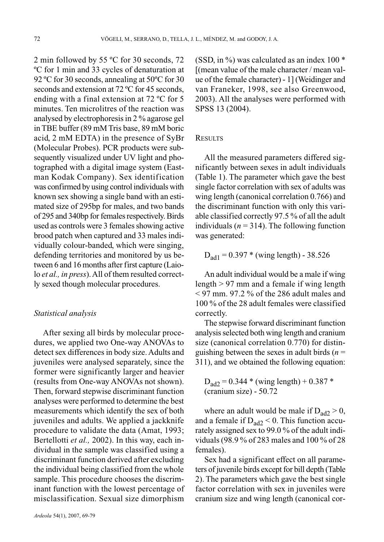2 min followed by 55 ºC for 30 seconds, 72 ºC for 1 min and 33 cycles of denaturation at 92 ºC for 30 seconds, annealing at 50ºC for 30 seconds and extension at 72 ºC for 45 seconds, ending with a final extension at 72 ºC for 5 minutes. Ten microlitres of the reaction was analysed by electrophoresis in 2 % agarose gel in TBE buffer (89 mM Tris base, 89 mM boric acid, 2 mM EDTA) in the presence of SyBr (Molecular Probes). PCR products were subsequently visualized under UV light and photographed with a digital image system (Eastman Kodak Company). Sex identification was confirmed by using control individuals with known sex showing a single band with an estimated size of 295bp for males, and two bands of 295 and 340bp for females respectively. Birds used as controls were 3 females showing active brood patch when captured and 33 males individually colour-banded, which were singing, defending territories and monitored by us between 6 and 16 months after first capture (Laiolo *et al., in press*). All of them resulted correctly sexed though molecular procedures.

## *Statistical analysis*

After sexing all birds by molecular procedures, we applied two One-way ANOVAs to detect sex differences in body size. Adults and juveniles were analysed separately, since the former were significantly larger and heavier (results from One-way ANOVAs not shown). Then, forward stepwise discriminant function analyses were performed to determine the best measurements which identify the sex of both juveniles and adults. We applied a jackknife procedure to validate the data (Amat, 1993; Bertellotti *et al.,* 2002). In this way, each individual in the sample was classified using a discriminant function derived after excluding the individual being classified from the whole sample. This procedure chooses the discriminant function with the lowest percentage of misclassification. Sexual size dimorphism

(SSD, in  $\%$ ) was calculated as an index 100  $*$ [(mean value of the male character / mean value of the female character) - 1] (Weidinger and van Franeker, 1998, see also Greenwood, 2003). All the analyses were performed with SPSS 13 (2004).

## RESULTS

All the measured parameters differed significantly between sexes in adult individuals (Table 1). The parameter which gave the best single factor correlation with sex of adults was wing length (canonical correlation 0.766) and the discriminant function with only this variable classified correctly 97.5 % of all the adult individuals ( $n = 314$ ). The following function was generated:

# $D_{\text{ad}1} = 0.397$  \* (wing length) - 38.526

An adult individual would be a male if wing length > 97 mm and a female if wing length  $\leq$  97 mm. 97.2 % of the 286 adult males and 100 % of the 28 adult females were classified correctly.

The stepwise forward discriminant function analysis selected both wing length and cranium size (canonical correlation 0.770) for distinguishing between the sexes in adult birds  $(n =$ 311), and we obtained the following equation:

$$
D_{\text{ad2}} = 0.344 \cdot \text{(wing length)} + 0.387 \cdot \text{(cranium size)} - 50.72
$$

where an adult would be male if  $D_{\text{ad}2} > 0$ , and a female if  $D_{\text{ad}2}$  < 0. This function accurately assigned sex to 99.0 % of the adult individuals (98.9 % of 283 males and 100 % of 28 females).

Sex had a significant effect on all parameters of juvenile birds except for bill depth (Table 2). The parameters which gave the best single factor correlation with sex in juveniles were cranium size and wing length (canonical cor-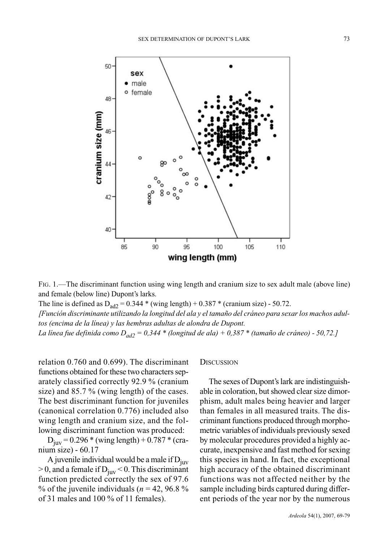

FIG. 1.—The discriminant function using wing length and cranium size to sex adult male (above line) and female (below line) Dupont's larks.

The line is defined as  $D_{ad2} = 0.344 * (wing length) + 0.387 * (cranium size) - 50.72$ . *[Función discriminante utilizando la longitud del ala y el tamaño del cráneo para sexar los machos adultos (encima de la línea) y las hembras adultas de alondra de Dupont. La línea fue definida como Dad2 = 0,344 \* (longitud de ala) + 0,387 \* (tamaño de cráneo) - 50,72.]*

relation 0.760 and 0.699). The discriminant functions obtained for these two characters separately classified correctly 92.9 % (cranium size) and 85.7 % (wing length) of the cases. The best discriminant function for juveniles (canonical correlation 0.776) included also wing length and cranium size, and the following discriminant function was produced:

 $D_{\text{juv}} = 0.296 * (wing length) + 0.787 * (cra$ nium size) - 60.17

A juvenile individual would be a male if  $D_{iuv}$  $> 0$ , and a female if D<sub>iuv</sub> < 0. This discriminant function predicted correctly the sex of 97.6 % of the juvenile individuals ( $n = 42, 96.8$ %) of 31 males and 100 % of 11 females).

**DISCUSSION** 

The sexes of Dupont's lark are indistinguishable in coloration, but showed clear size dimorphism, adult males being heavier and larger than females in all measured traits. The discriminant functions produced through morphometric variables of individuals previously sexed by molecular procedures provided a highly accurate, inexpensive and fast method for sexing this species in hand. In fact, the exceptional high accuracy of the obtained discriminant functions was not affected neither by the sample including birds captured during different periods of the year nor by the numerous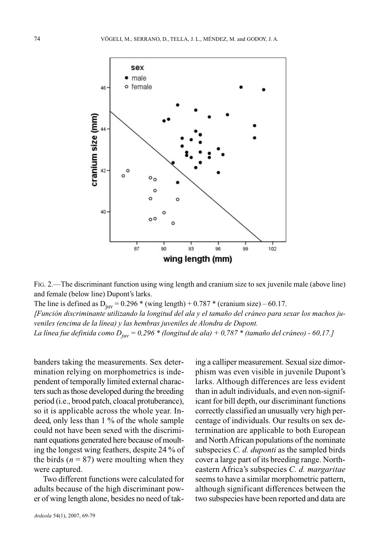

FIG. 2.—The discriminant function using wing length and cranium size to sex juvenile male (above line) and female (below line) Dupont's larks.

The line is defined as  $D_{\text{juv}} = 0.296 *$  (wing length) + 0.787 \* (cranium size) – 60.17. *[Función discriminante utilizando la longitud del ala y el tamaño del cráneo para sexar los machos juveniles (encima de la línea) y las hembras juveniles de Alondra de Dupont. La línea fue definida como Djuv = 0,296 \* (longitud de ala) + 0,787 \* (tamaño del cráneo) - 60,17.]*

banders taking the measurements. Sex determination relying on morphometrics is independent of temporally limited external characters such as those developed during the breeding period (i.e., brood patch, cloacal protuberance), so it is applicable across the whole year. Indeed, only less than 1 % of the whole sample could not have been sexed with the discriminant equations generated here because of moulting the longest wing feathers, despite 24 % of the birds  $(n = 87)$  were moulting when they were captured.

Two different functions were calculated for adults because of the high discriminant power of wing length alone, besides no need of tak-

ing a calliper measurement. Sexual size dimorphism was even visible in juvenile Dupont's larks. Although differences are less evident than in adult individuals, and even non-significant for bill depth, our discriminant functions correctly classified an unusually very high percentage of individuals. Our results on sex determination are applicable to both European and North African populations of the nominate subspecies *C. d. duponti* as the sampled birds cover a large part of its breeding range. Northeastern Africa's subspecies *C. d. margaritae* seems to have a similar morphometric pattern, although significant differences between the two subspecies have been reported and data are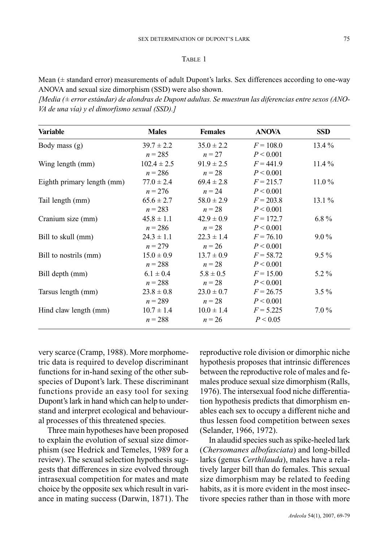## TABLE 1

Mean (± standard error) measurements of adult Dupont's larks. Sex differences according to one-way ANOVA and sexual size dimorphism (SSD) were also shown.

*[Media (± error estándar) de alondras de Dupont adultas. Se muestran las diferencias entre sexos (ANO-VA de una vía) y el dimorfismo sexual (SSD).]*

| <b>Variable</b>            | <b>Males</b>    | <b>Females</b> | <b>ANOVA</b> | <b>SSD</b> |
|----------------------------|-----------------|----------------|--------------|------------|
| Body mass (g)              | $39.7 \pm 2.2$  | $35.0 \pm 2.2$ | $F = 108.0$  | $13.4\%$   |
|                            | $n = 285$       | $n=27$         | P < 0.001    |            |
| Wing length (mm)           | $102.4 \pm 2.5$ | $91.9 \pm 2.5$ | $F = 441.9$  | $11.4\%$   |
|                            | $n = 286$       | $n = 28$       | P < 0.001    |            |
| Eighth primary length (mm) | $77.0 \pm 2.4$  | $69.4 \pm 2.8$ | $F = 215.7$  | $11.0\%$   |
|                            | $n = 276$       | $n = 24$       | P < 0.001    |            |
| Tail length (mm)           | $65.6 \pm 2.7$  | $58.0 \pm 2.9$ | $F = 203.8$  | $13.1\%$   |
|                            | $n = 283$       | $n = 28$       | P < 0.001    |            |
| Cranium size (mm)          | $45.8 \pm 1.1$  | $42.9 \pm 0.9$ | $F = 172.7$  | 6.8 $%$    |
|                            | $n = 286$       | $n = 28$       | P < 0.001    |            |
| Bill to skull (mm)         | $24.3 \pm 1.1$  | $22.3 \pm 1.4$ | $F = 76.10$  | $9.0\%$    |
|                            | $n = 279$       | $n = 26$       | P < 0.001    |            |
| Bill to nostrils (mm)      | $15.0 \pm 0.9$  | $13.7 \pm 0.9$ | $F = 58.72$  | $9.5\%$    |
|                            | $n = 288$       | $n = 28$       | P < 0.001    |            |
| Bill depth (mm)            | $6.1 \pm 0.4$   | $5.8 \pm 0.5$  | $F = 15.00$  | $5.2\%$    |
|                            | $n = 288$       | $n = 28$       | P < 0.001    |            |
| Tarsus length (mm)         | $23.8 \pm 0.8$  | $23.0 \pm 0.7$ | $F = 26.75$  | $3.5\%$    |
|                            | $n = 289$       | $n = 28$       | P < 0.001    |            |
| Hind claw length (mm)      | $10.7 \pm 1.4$  | $10.0 \pm 1.4$ | $F = 5.225$  | $7.0\%$    |
|                            | $n = 288$       | $n = 26$       | P < 0.05     |            |

very scarce (Cramp, 1988). More morphometric data is required to develop discriminant functions for in-hand sexing of the other subspecies of Dupont's lark. These discriminant functions provide an easy tool for sexing Dupont's lark in hand which can help to understand and interpret ecological and behavioural processes of this threatened species.

Three main hypotheses have been proposed to explain the evolution of sexual size dimorphism (see Hedrick and Temeles, 1989 for a review). The sexual selection hypothesis suggests that differences in size evolved through intrasexual competition for mates and mate choice by the opposite sex which result in variance in mating success (Darwin, 1871). The

reproductive role division or dimorphic niche hypothesis proposes that intrinsic differences between the reproductive role of males and females produce sexual size dimorphism (Ralls, 1976). The intersexual food niche differentiation hypothesis predicts that dimorphism enables each sex to occupy a different niche and thus lessen food competition between sexes (Selander, 1966, 1972).

In alaudid species such as spike-heeled lark (*Chersomanes albofasciata*) and long-billed larks (genus *Certhilauda*), males have a relatively larger bill than do females. This sexual size dimorphism may be related to feeding habits, as it is more evident in the most insectivore species rather than in those with more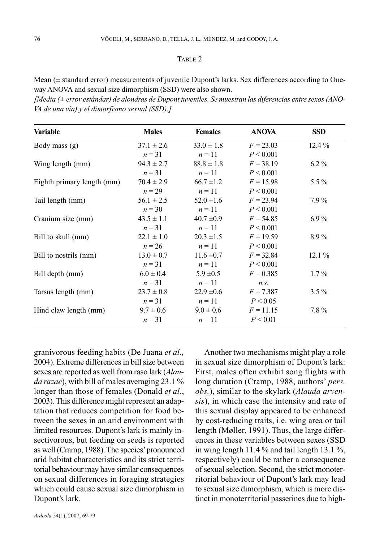## $T$ ABI E 2

Mean (± standard error) measurements of juvenile Dupont's larks. Sex differences according to Oneway ANOVA and sexual size dimorphism (SSD) were also shown.

*[Media (± error estándar) de alondras de Dupont juveniles. Se muestran las diferencias entre sexos (ANO-VA de una vía) y el dimorfismo sexual (SSD).]*

| <b>Variable</b>            | <b>Males</b>   | <b>Females</b> | <b>ANOVA</b> | <b>SSD</b> |
|----------------------------|----------------|----------------|--------------|------------|
| Body mass (g)              | $37.1 \pm 2.6$ | $33.0 \pm 1.8$ | $F = 23.03$  | $12.4\%$   |
|                            | $n = 31$       | $n=11$         | P < 0.001    |            |
| Wing length (mm)           | $94.3 \pm 2.7$ | $88.8 \pm 1.8$ | $F = 38.19$  | $6.2\%$    |
|                            | $n = 31$       | $n=11$         | P < 0.001    |            |
| Eighth primary length (mm) | $70.4 \pm 2.9$ | $66.7 \pm 1.2$ | $F = 15.98$  | 5.5 $%$    |
|                            | $n = 29$       | $n=11$         | P < 0.001    |            |
| Tail length (mm)           | $56.1 \pm 2.5$ | $52.0 \pm 1.6$ | $F = 23.94$  | $7.9\%$    |
|                            | $n = 30$       | $n=11$         | P < 0.001    |            |
| Cranium size (mm)          | $43.5 \pm 1.1$ | $40.7 \pm 0.9$ | $F = 54.85$  | $6.9\%$    |
|                            | $n=31$         | $n=11$         | P < 0.001    |            |
| Bill to skull (mm)         | $22.1 \pm 1.0$ | $20.3 \pm 1.5$ | $F = 19.59$  | 8.9%       |
|                            | $n = 26$       | $n=11$         | P < 0.001    |            |
| Bill to nostrils (mm)      | $13.0 \pm 0.7$ | $11.6 \pm 0.7$ | $F = 32.84$  | $12.1\%$   |
|                            | $n=31$         | $n=11$         | P < 0.001    |            |
| Bill depth (mm)            | $6.0 \pm 0.4$  | $5.9 \pm 0.5$  | $F = 0.385$  | $1.7\%$    |
|                            | $n=31$         | $n=11$         | n.s.         |            |
| Tarsus length (mm)         | $23.7 \pm 0.8$ | $22.9 \pm 0.6$ | $F = 7.387$  | $3.5\%$    |
|                            | $n=31$         | $n=11$         | P < 0.05     |            |
| Hind claw length (mm)      | $9.7 \pm 0.6$  | $9.0 \pm 0.6$  | $F = 11.15$  | 7.8%       |
|                            | $n = 31$       | $n=11$         | P < 0.01     |            |

granivorous feeding habits (De Juana *et al.,* 2004). Extreme differences in bill size between sexes are reported as well from raso lark (*Alauda razae*), with bill of males averaging 23.1 % longer than those of females (Donald *et al.*, 2003). This difference might represent an adaptation that reduces competition for food between the sexes in an arid environment with limited resources. Dupont's lark is mainly insectivorous, but feeding on seeds is reported as well (Cramp, 1988). The species'pronounced arid habitat characteristics and its strict territorial behaviour may have similar consequences on sexual differences in foraging strategies which could cause sexual size dimorphism in Dupont's lark.

Another two mechanisms might play a role in sexual size dimorphism of Dupont's lark: First, males often exhibit song flights with long duration (Cramp, 1988, authors' *pers. obs.*), similar to the skylark (*Alauda arvensis*), in which case the intensity and rate of this sexual display appeared to be enhanced by cost-reducing traits, i.e. wing area or tail length (Møller, 1991). Thus, the large differences in these variables between sexes (SSD in wing length 11.4 % and tail length 13.1 %, respectively) could be rather a consequence of sexual selection. Second, the strict monoterritorial behaviour of Dupont's lark may lead to sexual size dimorphism, which is more distinct in monoterritorial passerines due to high-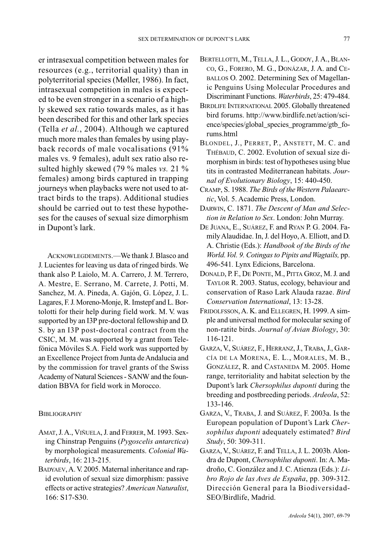er intrasexual competition between males for resources (e.g., territorial quality) than in polyterritorial species (Møller, 1986). In fact, intrasexual competition in males is expected to be even stronger in a scenario of a highly skewed sex ratio towards males, as it has been described for this and other lark species (Tella *et al.*, 2004). Although we captured much more males than females by using playback records of male vocalisations (91% males vs. 9 females), adult sex ratio also resulted highly skewed (79 % males *vs.* 21 % females) among birds captured in trapping journeys when playbacks were not used to attract birds to the traps). Additional studies should be carried out to test these hypotheses for the causes of sexual size dimorphism in Dupont's lark.

ACKNOWLEGDEMENTS.—We thank J. Blasco and J. Lucientes for leaving us data of ringed birds. We thank also P. Laiolo, M. A. Carrero, J. M. Terrero, A. Mestre, E. Serrano, M. Carrete, J. Potti, M. Sanchez, M. A. Pineda, A. Gajón, G. López, J. L. Lagares, F. J. Moreno-Monje, R. Imstepf and L. Bortolotti for their help during field work. M. V. was supported by an I3P pre-doctoral fellowship and D. S. by an I3P post-doctoral contract from the CSIC, M. M. was supported by a grant from Telefónica Móviles S.A. Field work was supported by an Excellence Project from Junta de Andalucia and by the commission for travel grants of the Swiss Academy of Natural Sciences - SANW and the foundation BBVA for field work in Morocco.

## **BIBLIOGRAPHY**

- AMAT, J.A., VIÑUELA, J. and FERRER, M. 1993. Sexing Chinstrap Penguins (*Pygoscelis antarctica*) by morphological measurements. *Colonial Waterbirds*, 16: 213-215.
- BADYAEV,A. V. 2005. Maternal inheritance and rapid evolution of sexual size dimorphism: passive effects or active strategies? *American Naturalist*, 166: S17-S30.
- BERTELLOTTI, M., TELLA, J. L., GODOY, J. A., BLAN-CO, G., FORERO, M. G., DONÁZAR, J. A. and CE-BALLOS O. 2002. Determining Sex of Magellanic Penguins Using Molecular Procedures and Discriminant Functions. *Waterbirds*, 25: 479-484.
- BIRDLIFE INTERNATIONAL 2005. Globally threatened bird forums. http://www.birdlife.net/action/science/species/global\_species\_programme/gtb\_forums.html
- BLONDEL, J., PERRET, P., ANSTETT, M. C. and THÉBAUD, C. 2002. Evolution of sexual size dimorphism in birds: test of hypotheses using blue tits in contrasted Mediterranean habitats. *Journal of Evolutionary Biology*, 15: 440-450.
- CRAMP, S. 1988. *The Birds of the Western Palaearctic*, Vol. 5. Academic Press, London.
- DARWIN, C. 1871. *The Descent of Man and Selection in Relation to Sex*. London: John Murray.
- DE JUANA, E., SUÁREZ, F. and RYAN P. G. 2004. Family Alaudidae. In, J. del Hoyo, A. Elliott, and D. A. Christie (Eds.): *Handbook of the Birds of the World. Vol. 9. Cotingas to Pipits and Wagtails,* pp. 496-541*.* Lynx Edicions, Barcelona.
- DONALD, P. F., DE PONTE, M., PITTA GROZ, M. J. and TAYLOR R. 2003. Status, ecology, behaviour and conservation of Raso Lark Alauda razae. *Bird Conservation International*, 13: 13-28.
- FRIDOLFSSON,A. K. and ELLEGREN, H. 1999. A simple and universal method for molecular sexing of non-ratite birds. *Journal of Avian Biology*, 30: 116-121.
- GARZA,V., SUÁREZ, F., HERRANZ,J., TRABA,J., GAR-CÍA DE LA MORENA, E. L., MORALES, M. B., GONZÁLEZ, R. and CASTANEDA M. 2005. Home range, territoriality and habitat selection by the Dupont's lark *Chersophilus duponti* during the breeding and postbreeding periods. *Ardeola*, 52: 133-146.
- GARZA, V., TRABA, J. and SUÁREZ, F. 2003a. Is the European population of Dupont's Lark *Chersophilus duponti* adequately estimated? *Bird Study*, 50: 309-311.
- GARZA, V., SUÁREZ, F. and TELLA, J. L. 2003b. Alondra de Dupont, *Chersophilus duponti*. In: A. Madroño, C. González and J. C. Atienza (Eds.): *Libro Rojo de las Aves de España*, pp. 309-312. Dirección General para la Biodiversidad-SEO/Birdlife, Madrid.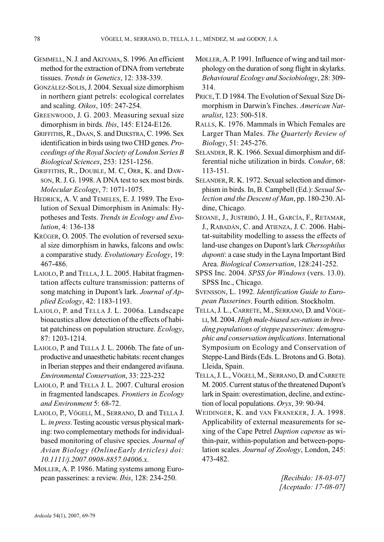- GEMMELL, N. J. and AKIYAMA, S. 1996. An efficient method for the extraction of DNA from vertebrate tissues. *Trends in Genetics*, 12: 338-339.
- GONZÁLEZ-SOLIS,J. 2004. Sexual size dimorphism in northern giant petrels: ecological correlates and scaling. *Oikos*, 105: 247-254.
- GREENWOOD, J. G. 2003. Measuring sexual size dimorphism in birds. *Ibis*, 145: E124-E126.
- GRIFFITHS, R., DAAN, S. and DIJKSTRA, C. 1996. Sex identification in birds using two CHD genes. *Proceedings of the Royal Society of London Series B Biological Sciences*, 253: 1251-1256.
- GRIFFITHS, R., DOUBLE, M. C, ORR, K. and DAW-SON, R. J. G. 1998. A DNA test to sex most birds. *Molecular Ecology*, 7: 1071-1075.
- HEDRICK, A. V. and TEMELES, E. J. 1989. The Evolution of Sexual Dimorphism in Animals: Hypotheses and Tests. *Trends in Ecology and Evolution*, 4: 136-138
- KRÜGER, O. 2005. The evolution of reversed sexual size dimorphism in hawks, falcons and owls: a comparative study. *Evolutionary Ecology*, 19: 467-486.
- LAIOLO, P. and TELLA, J. L. 2005. Habitat fragmentation affects culture transmission: patterns of song matching in Dupont's lark. *Journal of Applied Ecology*, 42: 1183-1193.
- LAIOLO, P. and TELLA J. L. 2006a. Landscape bioacustics allow detection of the effects of habitat patchiness on population structure. *Ecology*, 87: 1203-1214.
- LAIOLO, P. and TELLA J. L. 2006b. The fate of unproductive and unaesthetic habitats: recent changes in Iberian steppes and their endangered avifauna. *Environmental Conservation*, 33: 223-232
- LAIOLO, P. and TELLA J. L. 2007. Cultural erosion in fragmented landscapes. *Frontiers in Ecology and Environment* 5: 68-72.
- LAIOLO, P., VÖGELI, M., SERRANO, D. and TELLA J. L. *in press*.Testing acoustic versus physical marking: two complementary methods for individualbased monitoring of elusive species. *Journal of Avian Biology (OnlineEarly Articles) doi: 10.1111/j.2007.0908-8857.04006.x*.
- MØLLER, A. P. 1986. Mating systems among European passerines: a review. *Ibis*, 128: 234-250.
- MØLLER,A. P. 1991. Influence of wing and tail morphology on the duration of song flight in skylarks. *Behavioural Ecology and Sociobiology*, 28: 309- 314.
- PRICE,T. D 1984. The Evolution of Sexual Size Dimorphism in Darwin's Finches. *American Naturalist*, 123: 500-518.
- RALLS, K. 1976. Mammals in Which Females are Larger Than Males. *The Quarterly Review of Biology*, 51: 245-276.
- SELANDER, R. K. 1966. Sexual dimorphism and differential niche utilization in birds. *Condor*, 68: 113-151.
- SELANDER, R. K. 1972. Sexual selection and dimorphism in birds. In, B. Campbell (Ed.): *Sexual Selection and the Descent of Man*, pp. 180-230. Aldine, Chicago.
- SEOANE, J., JUSTRIBÓ, J. H., GARCÍA, F., RETAMAR, J., RABADÁN, C. and ATIENZA, J. C. 2006. Habitat-suitability modelling to assess the effects of land-use changes on Dupont's lark *Chersophilus duponti*: a case study in the Layna Important Bird Area. *Biological Conservation*, 128:241-252.
- SPSS Inc. 2004. *SPSS for Windows* (vers. 13.0). SPSS Inc., Chicago.
- SVENSSON, L. 1992. *Identification Guide to European Passerines*. Fourth edition. Stockholm.
- TELLA, J. L., CARRETE, M., SERRANO, D. and VÖGE-LI, M. 2004. *High male-biased sex-rations in breeding populations of steppe passerines: demographic and conservation implications*. International Symposium on Ecology and Conservation of Steppe-Land Birds (Eds. L. Brotons and G. Bota). Lleida, Spain.
- TELLA,J. L., VÖGELI, M., SERRANO, D. and CARRETE M. 2005. Current status of the threatened Dupont's lark in Spain: overestimation, decline, and extinction of local populations. *Oryx*, 39: 90-94.
- WEIDINGER, K. and VAN FRANEKER, J. A. 1998. Applicability of external measurements for sexing of the Cape Petrel *Daption capense* as within-pair, within-population and between-population scales. *Journal of Zoology*, London, 245: 473-482.

*[Recibido: 18-03-07] [Aceptado: 17-08-07]*